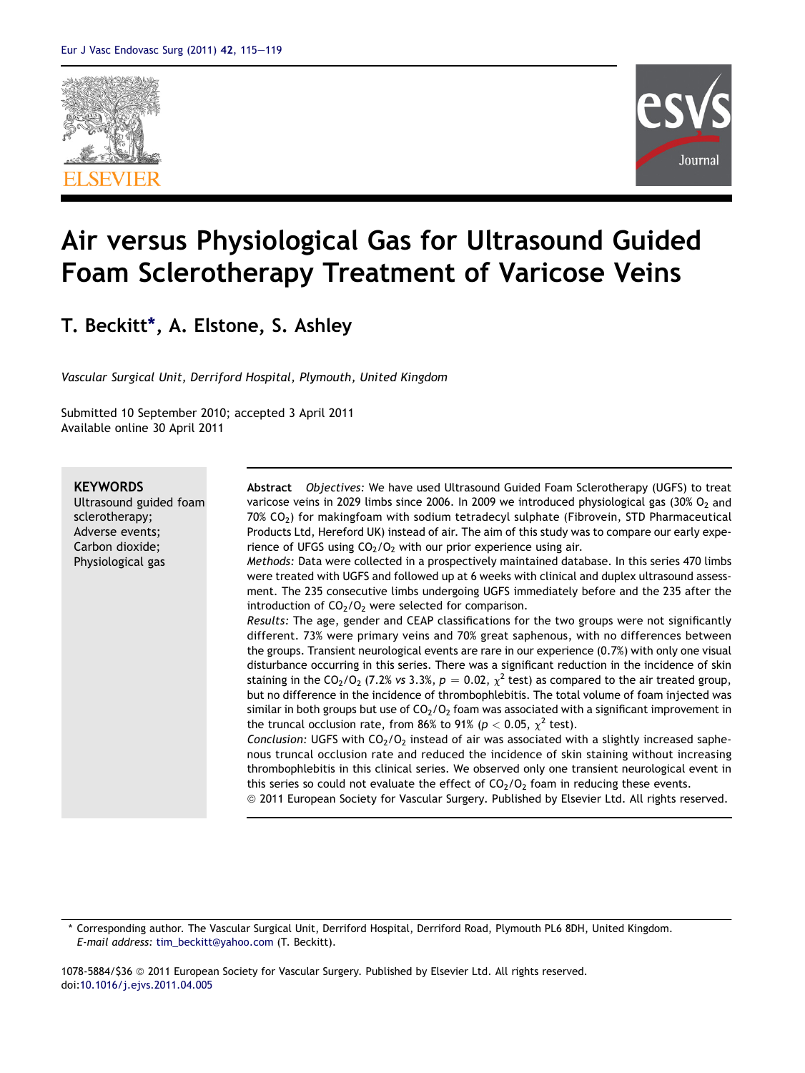



# Air versus Physiological Gas for Ultrasound Guided Foam Sclerotherapy Treatment of Varicose Veins

# T. Beckitt\*, A. Elstone, S. Ashley

Vascular Surgical Unit, Derriford Hospital, Plymouth, United Kingdom

Submitted 10 September 2010; accepted 3 April 2011 Available online 30 April 2011

# **KEYWORDS**

Ultrasound guided foam sclerotherapy; Adverse events; Carbon dioxide; Physiological gas

Abstract Objectives: We have used Ultrasound Guided Foam Sclerotherapy (UGFS) to treat varicose veins in 2029 limbs since 2006. In 2009 we introduced physiological gas  $(30\% O<sub>2</sub>$  and  $70\%$  CO<sub>2</sub>) for makingfoam with sodium tetradecyl sulphate (Fibrovein, STD Pharmaceutical Products Ltd, Hereford UK) instead of air. The aim of this study was to compare our early experience of UFGS using  $CO<sub>2</sub>/O<sub>2</sub>$  with our prior experience using air.

Methods: Data were collected in a prospectively maintained database. In this series 470 limbs were treated with UGFS and followed up at 6 weeks with clinical and duplex ultrasound assessment. The 235 consecutive limbs undergoing UGFS immediately before and the 235 after the introduction of  $CO<sub>2</sub>/O<sub>2</sub>$  were selected for comparison.

Results: The age, gender and CEAP classifications for the two groups were not significantly different. 73% were primary veins and 70% great saphenous, with no differences between the groups. Transient neurological events are rare in our experience (0.7%) with only one visual disturbance occurring in this series. There was a significant reduction in the incidence of skin staining in the CO<sub>2</sub>/O<sub>2</sub> (7.2% vs 3.3%,  $p = 0.02$ ,  $\chi^2$  test) as compared to the air treated group, but no difference in the incidence of thrombophlebitis. The total volume of foam injected was similar in both groups but use of  $CO_2/O_2$  foam was associated with a significant improvement in the truncal occlusion rate, from 86% to 91% ( $p < 0.05$ ,  $\chi^2$  test).

Conclusion: UGFS with  $CO<sub>2</sub>/O<sub>2</sub>$  instead of air was associated with a slightly increased saphenous truncal occlusion rate and reduced the incidence of skin staining without increasing thrombophlebitis in this clinical series. We observed only one transient neurological event in this series so could not evaluate the effect of  $CO<sub>2</sub>/O<sub>2</sub>$  foam in reducing these events.

ª 2011 European Society for Vascular Surgery. Published by Elsevier Ltd. All rights reserved.

\* Corresponding author. The Vascular Surgical Unit, Derriford Hospital, Derriford Road, Plymouth PL6 8DH, United Kingdom. E-mail address: [tim\\_beckitt@yahoo.com](mailto:tim_beckitt@yahoo.com) (T. Beckitt).

1078-5884/\$36 ª 2011 European Society for Vascular Surgery. Published by Elsevier Ltd. All rights reserved. doi[:10.1016/j.ejvs.2011.04.005](http://dx.doi.org/10.1016/j.ejvs.2011.04.005)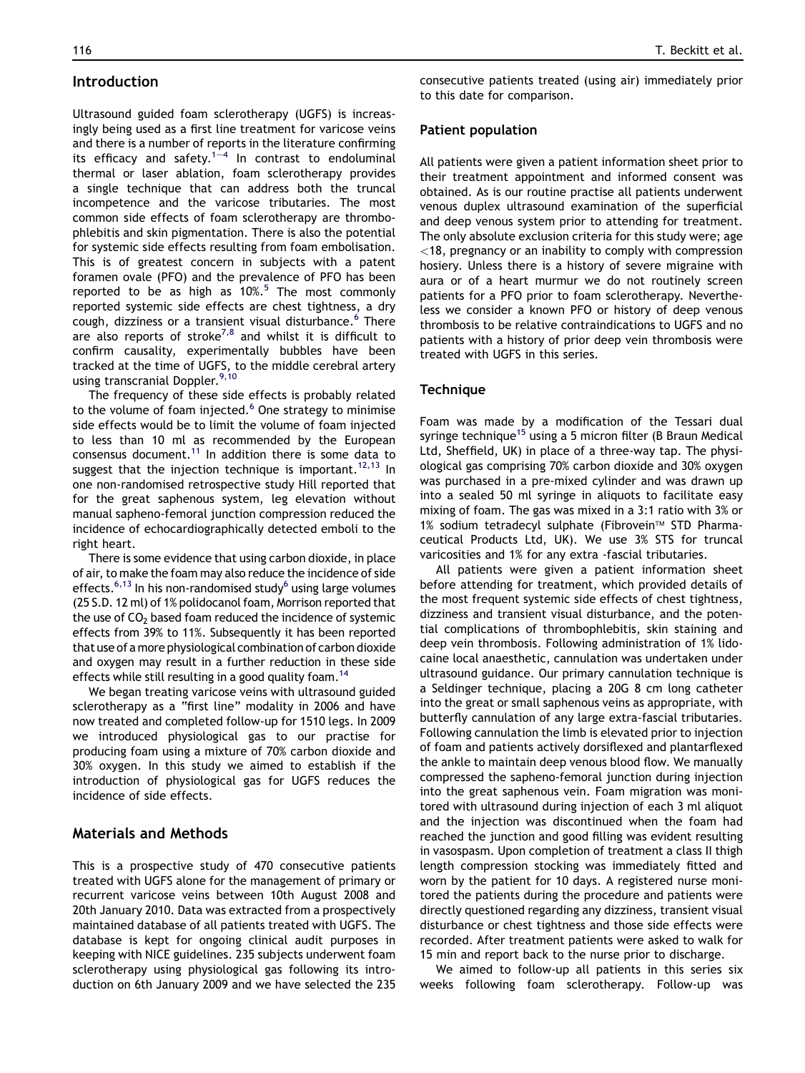# Introduction

Ultrasound guided foam sclerotherapy (UGFS) is increasingly being used as a first line treatment for varicose veins and there is a number of reports in the literature confirming its efficacy and safety.<sup>[1](#page-3-0)-[4](#page-3-0)</sup> In contrast to endoluminal thermal or laser ablation, foam sclerotherapy provides a single technique that can address both the truncal incompetence and the varicose tributaries. The most common side effects of foam sclerotherapy are thrombophlebitis and skin pigmentation. There is also the potential for systemic side effects resulting from foam embolisation. This is of greatest concern in subjects with a patent foramen ovale (PFO) and the prevalence of PFO has been reported to be as high as  $10\%$ .<sup>[5](#page-4-0)</sup> The most commonly reported systemic side effects are chest tightness, a dry cough, dizziness or a transient visual disturbance.<sup>[6](#page-4-0)</sup> There are also reports of stroke<sup>[7,8](#page-4-0)</sup> and whilst it is difficult to confirm causality, experimentally bubbles have been tracked at the time of UGFS, to the middle cerebral artery using transcranial Doppler.<sup>9,10</sup>

The frequency of these side effects is probably related to the volume of foam injected. $6$  One strategy to minimise side effects would be to limit the volume of foam injected to less than 10 ml as recommended by the European consensus document.<sup>11</sup> In addition there is some data to suggest that the injection technique is important.<sup>[12,13](#page-4-0)</sup> In one non-randomised retrospective study Hill reported that for the great saphenous system, leg elevation without manual sapheno-femoral junction compression reduced the incidence of echocardiographically detected emboli to the right heart.

There is some evidence that using carbon dioxide, in place of air, to make the foam may also reduce the incidence of side effects.<sup>[6,13](#page-4-0)</sup> In his non-randomised study<sup>6</sup> using large volumes (25 S.D. 12 ml) of 1% polidocanol foam, Morrison reported that the use of  $CO<sub>2</sub>$  based foam reduced the incidence of systemic effects from 39% to 11%. Subsequently it has been reported that use of a more physiological combination of carbon dioxide and oxygen may result in a further reduction in these side effects while still resulting in a good quality foam.<sup>14</sup>

We began treating varicose veins with ultrasound guided sclerotherapy as a "first line" modality in 2006 and have now treated and completed follow-up for 1510 legs. In 2009 we introduced physiological gas to our practise for producing foam using a mixture of 70% carbon dioxide and 30% oxygen. In this study we aimed to establish if the introduction of physiological gas for UGFS reduces the incidence of side effects.

# Materials and Methods

This is a prospective study of 470 consecutive patients treated with UGFS alone for the management of primary or recurrent varicose veins between 10th August 2008 and 20th January 2010. Data was extracted from a prospectively maintained database of all patients treated with UGFS. The database is kept for ongoing clinical audit purposes in keeping with NICE guidelines. 235 subjects underwent foam sclerotherapy using physiological gas following its introduction on 6th January 2009 and we have selected the 235

consecutive patients treated (using air) immediately prior to this date for comparison.

#### Patient population

All patients were given a patient information sheet prior to their treatment appointment and informed consent was obtained. As is our routine practise all patients underwent venous duplex ultrasound examination of the superficial and deep venous system prior to attending for treatment. The only absolute exclusion criteria for this study were; age <18, pregnancy or an inability to comply with compression hosiery. Unless there is a history of severe migraine with aura or of a heart murmur we do not routinely screen patients for a PFO prior to foam sclerotherapy. Nevertheless we consider a known PFO or history of deep venous thrombosis to be relative contraindications to UGFS and no patients with a history of prior deep vein thrombosis were treated with UGFS in this series.

#### **Technique**

Foam was made by a modification of the Tessari dual syringe technique<sup>15</sup> using a 5 micron filter (B Braun Medical Ltd, Sheffield, UK) in place of a three-way tap. The physiological gas comprising 70% carbon dioxide and 30% oxygen was purchased in a pre-mixed cylinder and was drawn up into a sealed 50 ml syringe in aliquots to facilitate easy mixing of foam. The gas was mixed in a 3:1 ratio with 3% or 1% sodium tetradecyl sulphate (Fibrovein™ STD Pharmaceutical Products Ltd, UK). We use 3% STS for truncal varicosities and 1% for any extra -fascial tributaries.

All patients were given a patient information sheet before attending for treatment, which provided details of the most frequent systemic side effects of chest tightness, dizziness and transient visual disturbance, and the potential complications of thrombophlebitis, skin staining and deep vein thrombosis. Following administration of 1% lidocaine local anaesthetic, cannulation was undertaken under ultrasound guidance. Our primary cannulation technique is a Seldinger technique, placing a 20G 8 cm long catheter into the great or small saphenous veins as appropriate, with butterfly cannulation of any large extra-fascial tributaries. Following cannulation the limb is elevated prior to injection of foam and patients actively dorsiflexed and plantarflexed the ankle to maintain deep venous blood flow. We manually compressed the sapheno-femoral junction during injection into the great saphenous vein. Foam migration was monitored with ultrasound during injection of each 3 ml aliquot and the injection was discontinued when the foam had reached the junction and good filling was evident resulting in vasospasm. Upon completion of treatment a class II thigh length compression stocking was immediately fitted and worn by the patient for 10 days. A registered nurse monitored the patients during the procedure and patients were directly questioned regarding any dizziness, transient visual disturbance or chest tightness and those side effects were recorded. After treatment patients were asked to walk for 15 min and report back to the nurse prior to discharge.

We aimed to follow-up all patients in this series six weeks following foam sclerotherapy. Follow-up was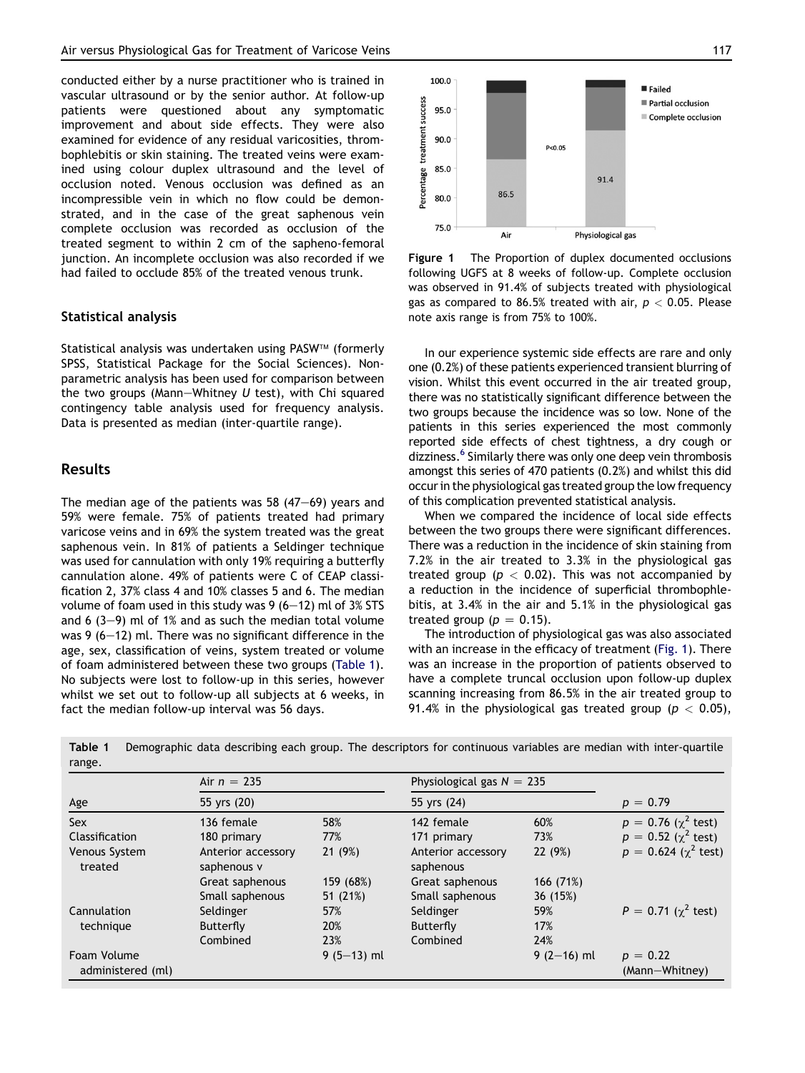conducted either by a nurse practitioner who is trained in vascular ultrasound or by the senior author. At follow-up patients were questioned about any symptomatic improvement and about side effects. They were also examined for evidence of any residual varicosities, thrombophlebitis or skin staining. The treated veins were examined using colour duplex ultrasound and the level of occlusion noted. Venous occlusion was defined as an incompressible vein in which no flow could be demonstrated, and in the case of the great saphenous vein complete occlusion was recorded as occlusion of the treated segment to within 2 cm of the sapheno-femoral junction. An incomplete occlusion was also recorded if we had failed to occlude 85% of the treated venous trunk.

### Statistical analysis

Statistical analysis was undertaken using PASW™ (formerly SPSS, Statistical Package for the Social Sciences). Nonparametric analysis has been used for comparison between the two groups (Mann-Whitney  $U$  test), with Chi squared contingency table analysis used for frequency analysis. Data is presented as median (inter-quartile range).

# Results

The median age of the patients was 58  $(47-69)$  years and 59% were female. 75% of patients treated had primary varicose veins and in 69% the system treated was the great saphenous vein. In 81% of patients a Seldinger technique was used for cannulation with only 19% requiring a butterfly cannulation alone. 49% of patients were C of CEAP classification 2, 37% class 4 and 10% classes 5 and 6. The median volume of foam used in this study was 9  $(6-12)$  ml of 3% STS and 6 (3-9) ml of 1% and as such the median total volume was 9  $(6-12)$  ml. There was no significant difference in the age, sex, classification of veins, system treated or volume of foam administered between these two groups (Table 1). No subjects were lost to follow-up in this series, however whilst we set out to follow-up all subjects at 6 weeks, in fact the median follow-up interval was 56 days.



Figure 1 The Proportion of duplex documented occlusions following UGFS at 8 weeks of follow-up. Complete occlusion was observed in 91.4% of subjects treated with physiological gas as compared to 86.5% treated with air,  $p < 0.05$ . Please note axis range is from 75% to 100%.

In our experience systemic side effects are rare and only one (0.2%) of these patients experienced transient blurring of vision. Whilst this event occurred in the air treated group, there was no statistically significant difference between the two groups because the incidence was so low. None of the patients in this series experienced the most commonly reported side effects of chest tightness, a dry cough or dizziness.<sup>[6](#page-4-0)</sup> Similarly there was only one deep vein thrombosis amongst this series of 470 patients (0.2%) and whilst this did occur in the physiological gas treated group the low frequency of this complication prevented statistical analysis.

When we compared the incidence of local side effects between the two groups there were significant differences. There was a reduction in the incidence of skin staining from 7.2% in the air treated to 3.3% in the physiological gas treated group ( $p < 0.02$ ). This was not accompanied by a reduction in the incidence of superficial thrombophlebitis, at 3.4% in the air and 5.1% in the physiological gas treated group ( $p = 0.15$ ).

The introduction of physiological gas was also associated with an increase in the efficacy of treatment (Fig. 1). There was an increase in the proportion of patients observed to have a complete truncal occlusion upon follow-up duplex scanning increasing from 86.5% in the air treated group to 91.4% in the physiological gas treated group ( $p < 0.05$ ),

| Age                              | Air $n = 235$<br>55 yrs (20)      |              | Physiological gas $N = 235$<br>55 yrs (24) |              | $p = 0.79$                   |
|----------------------------------|-----------------------------------|--------------|--------------------------------------------|--------------|------------------------------|
|                                  |                                   |              |                                            |              |                              |
| Classification                   | 180 primary                       | 77%          | 171 primary                                | 73%          | $p = 0.52$ ( $\chi^2$ test)  |
| Venous System<br>treated         | Anterior accessory<br>saphenous v | 21(9%)       | Anterior accessory<br>saphenous            | 22 (9%)      | $p = 0.624$ ( $\chi^2$ test) |
|                                  | Great saphenous                   | 159 (68%)    | Great saphenous                            | 166 (71%)    |                              |
|                                  | Small saphenous                   | 51 (21%)     | Small saphenous                            | 36 (15%)     |                              |
| Cannulation                      | Seldinger                         | 57%          | Seldinger                                  | 59%          | $P = 0.71$ ( $\chi^2$ test)  |
| technique                        | Butterfly                         | 20%          | Butterfly                                  | 17%          |                              |
|                                  | Combined                          | 23%          | Combined                                   | 24%          |                              |
| Foam Volume<br>administered (ml) |                                   | $9(5-13)$ ml |                                            | $9(2-16)$ ml | $p = 0.22$<br>(Mann-Whitney) |

Table 1 Demographic data describing each group. The descriptors for continuous variables are median with inter-quartile range.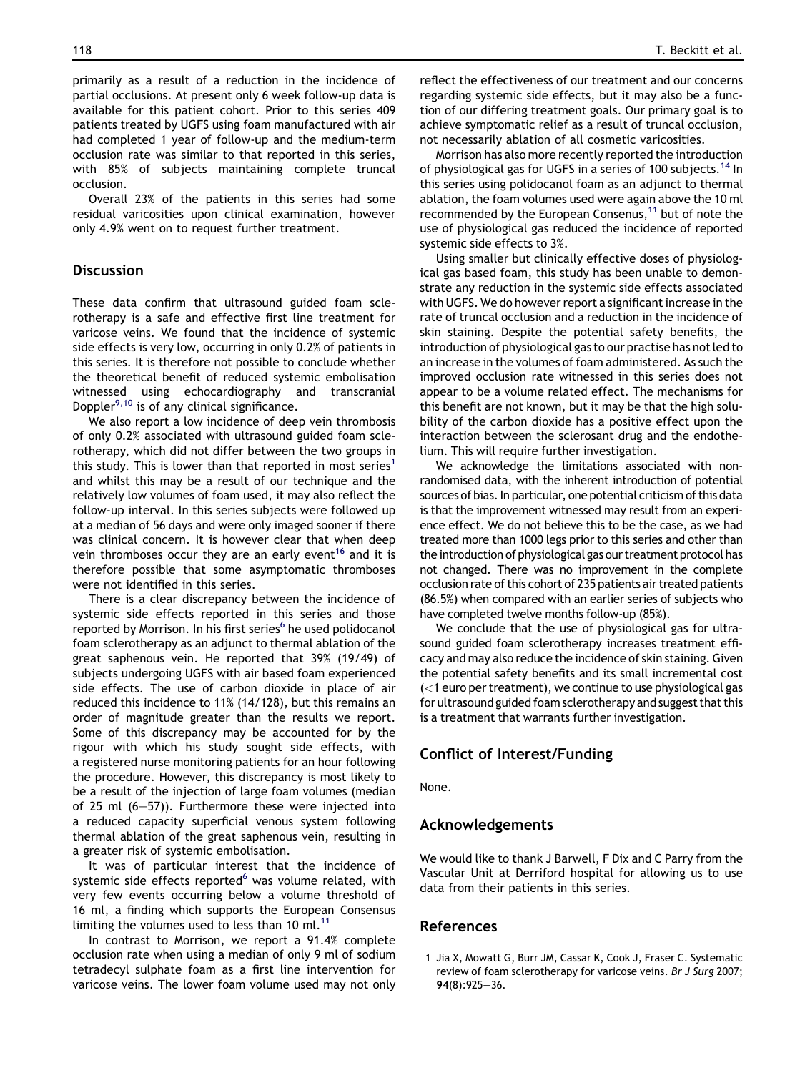<span id="page-3-0"></span>primarily as a result of a reduction in the incidence of partial occlusions. At present only 6 week follow-up data is available for this patient cohort. Prior to this series 409 patients treated by UGFS using foam manufactured with air had completed 1 year of follow-up and the medium-term occlusion rate was similar to that reported in this series, with 85% of subjects maintaining complete truncal occlusion.

Overall 23% of the patients in this series had some residual varicosities upon clinical examination, however only 4.9% went on to request further treatment.

# **Discussion**

These data confirm that ultrasound guided foam sclerotherapy is a safe and effective first line treatment for varicose veins. We found that the incidence of systemic side effects is very low, occurring in only 0.2% of patients in this series. It is therefore not possible to conclude whether the theoretical benefit of reduced systemic embolisation witnessed using echocardiography and transcranial Doppler $9,10$  is of any clinical significance.

We also report a low incidence of deep vein thrombosis of only 0.2% associated with ultrasound guided foam sclerotherapy, which did not differ between the two groups in this study. This is lower than that reported in most series<sup>1</sup> and whilst this may be a result of our technique and the relatively low volumes of foam used, it may also reflect the follow-up interval. In this series subjects were followed up at a median of 56 days and were only imaged sooner if there was clinical concern. It is however clear that when deep vein thromboses occur they are an early event<sup>[16](#page-4-0)</sup> and it is therefore possible that some asymptomatic thromboses were not identified in this series.

There is a clear discrepancy between the incidence of systemic side effects reported in this series and those reported by Morrison. In his first series<sup>6</sup> he used polidocanol foam sclerotherapy as an adjunct to thermal ablation of the great saphenous vein. He reported that 39% (19/49) of subjects undergoing UGFS with air based foam experienced side effects. The use of carbon dioxide in place of air reduced this incidence to 11% (14/128), but this remains an order of magnitude greater than the results we report. Some of this discrepancy may be accounted for by the rigour with which his study sought side effects, with a registered nurse monitoring patients for an hour following the procedure. However, this discrepancy is most likely to be a result of the injection of large foam volumes (median of 25 ml  $(6-57)$ ). Furthermore these were injected into a reduced capacity superficial venous system following thermal ablation of the great saphenous vein, resulting in a greater risk of systemic embolisation.

It was of particular interest that the incidence of systemic side effects reported<sup>[6](#page-4-0)</sup> was volume related, with very few events occurring below a volume threshold of 16 ml, a finding which supports the European Consensus limiting the volumes used to less than 10 ml.<sup>[11](#page-4-0)</sup>

In contrast to Morrison, we report a 91.4% complete occlusion rate when using a median of only 9 ml of sodium tetradecyl sulphate foam as a first line intervention for varicose veins. The lower foam volume used may not only

reflect the effectiveness of our treatment and our concerns regarding systemic side effects, but it may also be a function of our differing treatment goals. Our primary goal is to achieve symptomatic relief as a result of truncal occlusion, not necessarily ablation of all cosmetic varicosities.

Morrison has also more recently reported the introduction of physiological gas for UGFS in a series of 100 subjects.<sup>[14](#page-4-0)</sup> In this series using polidocanol foam as an adjunct to thermal ablation, the foam volumes used were again above the 10 ml recommended by the European Consenus,<sup>[11](#page-4-0)</sup> but of note the use of physiological gas reduced the incidence of reported systemic side effects to 3%.

Using smaller but clinically effective doses of physiological gas based foam, this study has been unable to demonstrate any reduction in the systemic side effects associated with UGFS. We do however report a significant increase in the rate of truncal occlusion and a reduction in the incidence of skin staining. Despite the potential safety benefits, the introduction of physiological gas to our practise has not led to an increase in the volumes of foam administered. As such the improved occlusion rate witnessed in this series does not appear to be a volume related effect. The mechanisms for this benefit are not known, but it may be that the high solubility of the carbon dioxide has a positive effect upon the interaction between the sclerosant drug and the endothelium. This will require further investigation.

We acknowledge the limitations associated with nonrandomised data, with the inherent introduction of potential sources of bias. In particular, one potential criticism of this data is that the improvement witnessed may result from an experience effect. We do not believe this to be the case, as we had treated more than 1000 legs prior to this series and other than the introduction of physiological gas our treatment protocol has not changed. There was no improvement in the complete occlusion rate of this cohort of 235 patients air treated patients (86.5%) when compared with an earlier series of subjects who have completed twelve months follow-up (85%).

We conclude that the use of physiological gas for ultrasound guided foam sclerotherapy increases treatment efficacy and may also reduce the incidence of skin staining. Given the potential safety benefits and its small incremental cost (<1 euro per treatment), we continue to use physiological gas for ultrasound guided foam sclerotherapy and suggest that this is a treatment that warrants further investigation.

# Conflict of Interest/Funding

None.

# Acknowledgements

We would like to thank J Barwell, F Dix and C Parry from the Vascular Unit at Derriford hospital for allowing us to use data from their patients in this series.

# References

1 Jia X, Mowatt G, Burr JM, Cassar K, Cook J, Fraser C. Systematic review of foam sclerotherapy for varicose veins. Br J Surg 2007;  $94(8):925-36.$